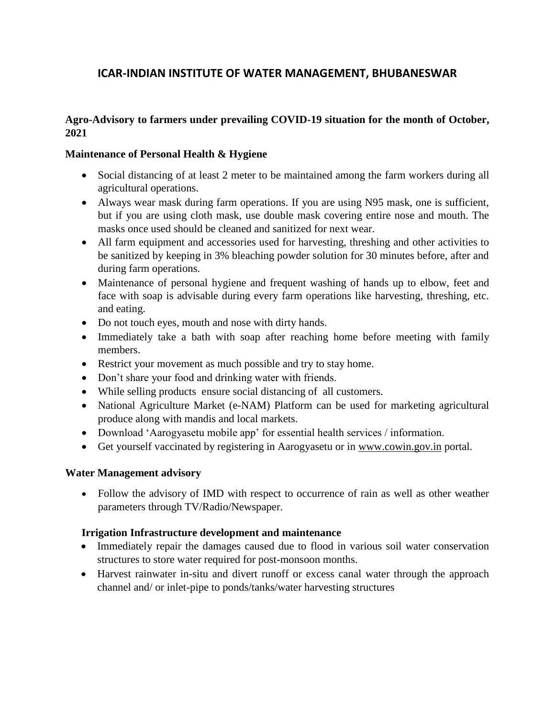# **ICAR-INDIAN INSTITUTE OF WATER MANAGEMENT, BHUBANESWAR**

## **Agro-Advisory to farmers under prevailing COVID-19 situation for the month of October, 2021**

## **Maintenance of Personal Health & Hygiene**

- Social distancing of at least 2 meter to be maintained among the farm workers during all agricultural operations.
- Always wear mask during farm operations. If you are using N95 mask, one is sufficient, but if you are using cloth mask, use double mask covering entire nose and mouth. The masks once used should be cleaned and sanitized for next wear.
- All farm equipment and accessories used for harvesting, threshing and other activities to be sanitized by keeping in 3% bleaching powder solution for 30 minutes before, after and during farm operations.
- Maintenance of personal hygiene and frequent washing of hands up to elbow, feet and face with soap is advisable during every farm operations like harvesting, threshing, etc. and eating.
- Do not touch eyes, mouth and nose with dirty hands.
- Immediately take a bath with soap after reaching home before meeting with family members.
- Restrict your movement as much possible and try to stay home.
- Don't share your food and drinking water with friends.
- While selling products ensure social distancing of all customers.
- National Agriculture Market (e-NAM) Platform can be used for marketing agricultural produce along with mandis and local markets.
- Download 'Aarogyasetu mobile app' for essential health services / information.
- Get yourself vaccinated by registering in Aarogyasetu or in [www.cowin.gov.in](http://www.cowin.gov.in/) portal.

## **Water Management advisory**

• Follow the advisory of IMD with respect to occurrence of rain as well as other weather parameters through TV/Radio/Newspaper.

## **Irrigation Infrastructure development and maintenance**

- Immediately repair the damages caused due to flood in various soil water conservation structures to store water required for post-monsoon months.
- Harvest rainwater in-situ and divert runoff or excess canal water through the approach channel and/ or inlet-pipe to ponds/tanks/water harvesting structures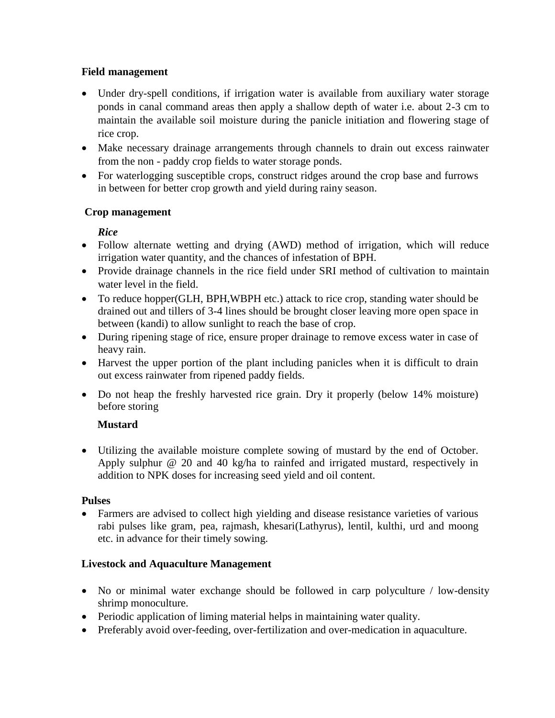## **Field management**

- Under dry-spell conditions, if irrigation water is available from auxiliary water storage ponds in canal command areas then apply a shallow depth of water i.e. about 2-3 cm to maintain the available soil moisture during the panicle initiation and flowering stage of rice crop.
- Make necessary drainage arrangements through channels to drain out excess rainwater from the non - paddy crop fields to water storage ponds.
- For waterlogging susceptible crops, construct ridges around the crop base and furrows in between for better crop growth and yield during rainy season.

## **Crop management**

## *Rice*

- Follow alternate wetting and drying (AWD) method of irrigation, which will reduce irrigation water quantity, and the chances of infestation of BPH.
- Provide drainage channels in the rice field under SRI method of cultivation to maintain water level in the field.
- To reduce hopper(GLH, BPH,WBPH etc.) attack to rice crop, standing water should be drained out and tillers of 3-4 lines should be brought closer leaving more open space in between (kandi) to allow sunlight to reach the base of crop.
- During ripening stage of rice, ensure proper drainage to remove excess water in case of heavy rain.
- Harvest the upper portion of the plant including panicles when it is difficult to drain out excess rainwater from ripened paddy fields.
- Do not heap the freshly harvested rice grain. Dry it properly (below 14% moisture) before storing

# **Mustard**

 Utilizing the available moisture complete sowing of mustard by the end of October. Apply sulphur @ 20 and 40 kg/ha to rainfed and irrigated mustard, respectively in addition to NPK doses for increasing seed yield and oil content.

## **Pulses**

 Farmers are advised to collect high yielding and disease resistance varieties of various rabi pulses like gram, pea, rajmash, khesari(Lathyrus), lentil, kulthi, urd and moong etc. in advance for their timely sowing.

# **Livestock and Aquaculture Management**

- No or minimal water exchange should be followed in carp polyculture / low-density shrimp monoculture.
- Periodic application of liming material helps in maintaining water quality.
- Preferably avoid over-feeding, over-fertilization and over-medication in aquaculture.